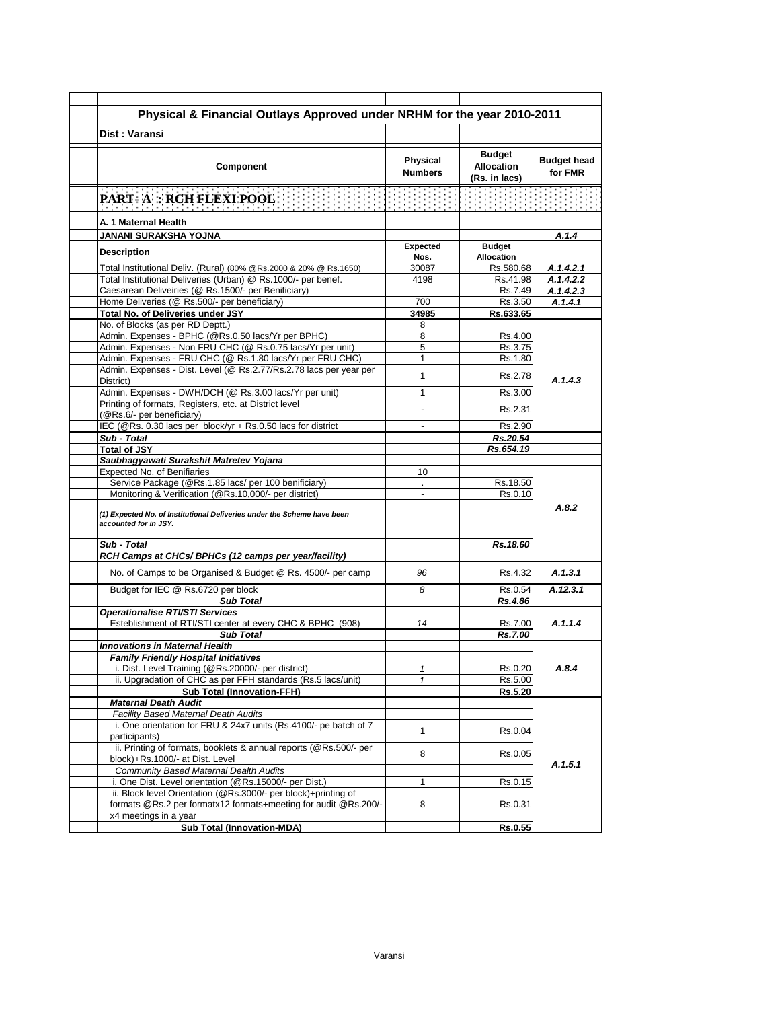| Dist: Varansi                                                                                    | Physical & Financial Outlays Approved under NRHM for the year 2010-2011 |                                                     |                               |
|--------------------------------------------------------------------------------------------------|-------------------------------------------------------------------------|-----------------------------------------------------|-------------------------------|
|                                                                                                  |                                                                         |                                                     |                               |
| Component                                                                                        | Physical<br><b>Numbers</b>                                              | <b>Budget</b><br><b>Allocation</b><br>(Rs. in lacs) | <b>Budget head</b><br>for FMR |
| <u> Portugal Portugal Portugal Portugal Portugal Por</u><br><b>PART-A: RCH FLEXI POOL</b>        |                                                                         |                                                     |                               |
| A. 1 Maternal Health                                                                             |                                                                         |                                                     |                               |
| JANANI SURAKSHA YOJNA                                                                            |                                                                         |                                                     | A.1.4                         |
| <b>Description</b>                                                                               | Expected                                                                | <b>Budget</b><br><b>Allocation</b>                  |                               |
| Total Institutional Deliv. (Rural) (80% @Rs.2000 & 20% @ Rs.1650)                                | Nos.<br>30087                                                           | Rs.580.68                                           | A.1.4.2.1                     |
| Total Institutional Deliveries (Urban) @ Rs.1000/- per benef.                                    | 4198                                                                    | Rs.41.98                                            | A.1.4.2.2                     |
| Caesarean Deliveiries (@ Rs.1500/- per Benificiary)                                              |                                                                         | Rs.7.49                                             | A.1.4.2.3                     |
| Home Deliveries (@ Rs.500/- per beneficiary)                                                     | 700                                                                     | Rs.3.50                                             | A.1.4.1                       |
| Total No. of Deliveries under JSY                                                                | 34985                                                                   | Rs.633.65                                           |                               |
| No. of Blocks (as per RD Deptt.)                                                                 | 8                                                                       |                                                     |                               |
| Admin. Expenses - BPHC (@Rs.0.50 lacs/Yr per BPHC)                                               | 8                                                                       | Rs.4.00                                             |                               |
| Admin. Expenses - Non FRU CHC (@ Rs.0.75 lacs/Yr per unit)                                       | 5                                                                       | Rs.3.75                                             |                               |
| Admin. Expenses - FRU CHC (@ Rs.1.80 lacs/Yr per FRU CHC)                                        | 1                                                                       | Rs.1.80                                             |                               |
| Admin. Expenses - Dist. Level (@ Rs.2.77/Rs.2.78 lacs per year per<br>District)                  | $\mathbf{1}$                                                            | Rs.2.78                                             | A.1.4.3                       |
| Admin. Expenses - DWH/DCH (@ Rs.3.00 lacs/Yr per unit)                                           | $\mathbf{1}$                                                            | Rs.3.00                                             |                               |
| Printing of formats, Registers, etc. at District level                                           |                                                                         |                                                     |                               |
| (@Rs.6/- per beneficiary)                                                                        |                                                                         | Rs.2.31                                             |                               |
| IEC (@Rs. 0.30 lacs per block/yr + Rs.0.50 lacs for district                                     | $\overline{a}$                                                          | Rs.2.90                                             |                               |
| Sub - Total                                                                                      |                                                                         | Rs.20.54                                            |                               |
| <b>Total of JSY</b>                                                                              |                                                                         | Rs.654.19                                           |                               |
| Saubhagyawati Surakshit Matretev Yojana<br><b>Expected No. of Benifiaries</b>                    | 10                                                                      |                                                     |                               |
| Service Package (@Rs.1.85 lacs/ per 100 benificiary)                                             |                                                                         | Rs.18.50                                            |                               |
| Monitoring & Verification (@Rs.10,000/- per district)                                            |                                                                         | Rs.0.10                                             |                               |
| (1) Expected No. of Institutional Deliveries under the Scheme have been<br>accounted for in JSY. |                                                                         |                                                     | A.8.2                         |
| Sub - Total                                                                                      |                                                                         | Rs.18.60                                            |                               |
| RCH Camps at CHCs/ BPHCs (12 camps per year/facility)                                            |                                                                         |                                                     |                               |
| No. of Camps to be Organised & Budget @ Rs. 4500/- per camp                                      | 96                                                                      | Rs 4.32                                             | A.1.3.1                       |
| Budget for IEC @ Rs.6720 per block                                                               | 8                                                                       | Rs 0.54                                             | A.12.3.1                      |
| <b>Sub Total</b>                                                                                 |                                                                         | Rs.4.86                                             |                               |
| Operationalise RTI/STI Services<br>Esteblishment of RTI/STI center at every CHC & BPHC (908)     | 14                                                                      | Rs.7.00                                             | A.1.1.4                       |
| <b>Sub Total</b>                                                                                 |                                                                         | Rs.7.00                                             |                               |
| <b>Innovations in Maternal Health</b>                                                            |                                                                         |                                                     |                               |
| <b>Family Friendly Hospital Initiatives</b>                                                      |                                                                         |                                                     |                               |
| i. Dist. Level Training (@Rs.20000/- per district)                                               | 1                                                                       | Rs.0.20                                             | A.8.4                         |
| ii. Upgradation of CHC as per FFH standards (Rs.5 lacs/unit)                                     | 1                                                                       | Rs.5.00                                             |                               |
| <b>Sub Total (Innovation-FFH)</b>                                                                |                                                                         | Rs.5.20                                             |                               |
|                                                                                                  |                                                                         |                                                     |                               |
| <b>Maternal Death Audit</b>                                                                      |                                                                         |                                                     |                               |
| <b>Facility Based Maternal Death Audits</b>                                                      |                                                                         |                                                     |                               |
| i. One orientation for FRU & 24x7 units (Rs.4100/- pe batch of 7                                 | $\mathbf{1}$                                                            | Rs.0.04                                             |                               |
| participants)                                                                                    |                                                                         |                                                     |                               |
| ii. Printing of formats, booklets & annual reports (@Rs.500/- per                                | 8                                                                       | Rs.0.05                                             |                               |
| block)+Rs.1000/- at Dist. Level<br>Community Based Maternal Dealth Audits                        |                                                                         |                                                     |                               |
| i. One Dist. Level orientation (@Rs.15000/- per Dist.)                                           | $\mathbf{1}$                                                            | Rs.0.15                                             |                               |
| ii. Block level Orientation (@Rs.3000/- per block)+printing of                                   |                                                                         |                                                     | A.1.5.1                       |
| formats @Rs.2 per formatx12 formats+meeting for audit @Rs.200/-                                  | 8                                                                       | Rs.0.31                                             |                               |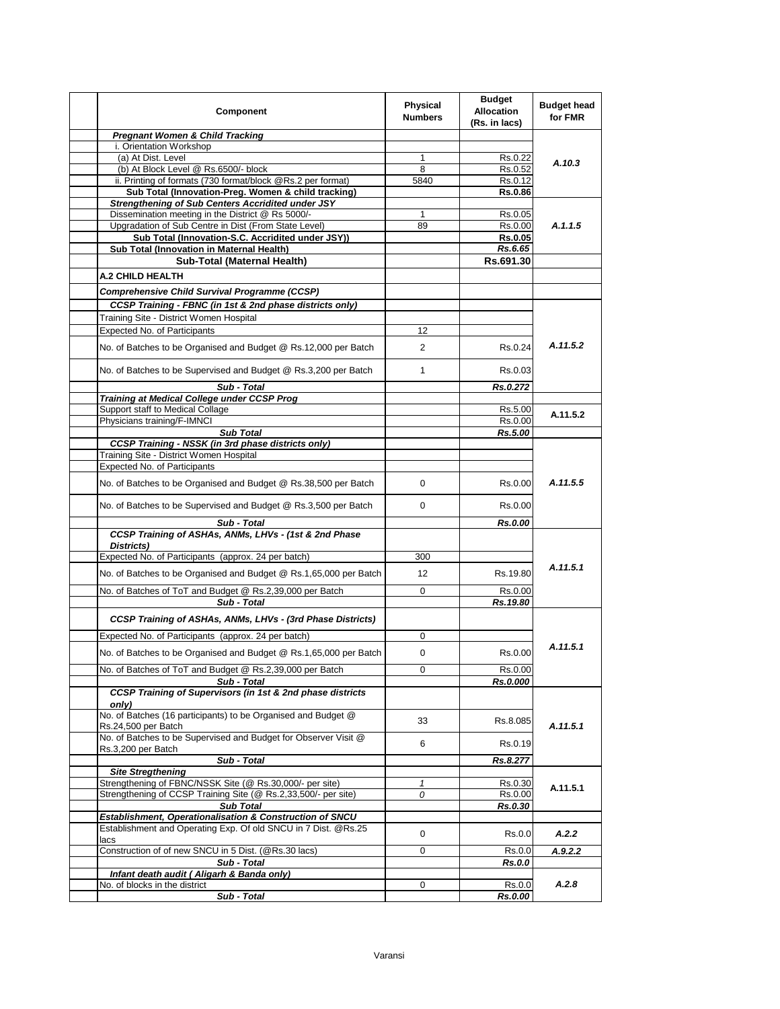| Component                                                                  | Physical<br><b>Numbers</b> | <b>Budget</b><br><b>Allocation</b><br>(Rs. in lacs) | <b>Budget head</b><br>for FMR |
|----------------------------------------------------------------------------|----------------------------|-----------------------------------------------------|-------------------------------|
| <b>Pregnant Women &amp; Child Tracking</b>                                 |                            |                                                     |                               |
| i. Orientation Workshop                                                    |                            |                                                     |                               |
| (a) At Dist. Level                                                         | 1                          | Rs.0.22                                             | A.10.3                        |
| (b) At Block Level @ Rs.6500/- block                                       | 8                          | Rs.0.52                                             |                               |
| ii. Printing of formats (730 format/block @Rs.2 per format)                | 5840                       | Rs.0.12                                             |                               |
| Sub Total (Innovation-Preg. Women & child tracking)                        |                            | <b>Rs.0.86</b>                                      |                               |
| <b>Strengthening of Sub Centers Accridited under JSY</b>                   |                            |                                                     |                               |
| Dissemination meeting in the District @ Rs 5000/-                          | 1                          | Rs.0.05                                             |                               |
| Upgradation of Sub Centre in Dist (From State Level)                       | 89                         | Rs.0.00                                             | A.1.1.5                       |
| Sub Total (Innovation-S.C. Accridited under JSY))                          |                            | <b>Rs.0.05</b>                                      |                               |
| Sub Total (Innovation in Maternal Health)                                  |                            | Rs.6.65                                             |                               |
| Sub-Total (Maternal Health)                                                |                            | Rs.691.30                                           |                               |
| <b>A.2 CHILD HEALTH</b>                                                    |                            |                                                     |                               |
| Comprehensive Child Survival Programme (CCSP)                              |                            |                                                     |                               |
| CCSP Training - FBNC (in 1st & 2nd phase districts only)                   |                            |                                                     |                               |
| Training Site - District Women Hospital                                    |                            |                                                     |                               |
| <b>Expected No. of Participants</b>                                        | 12                         |                                                     |                               |
|                                                                            |                            |                                                     |                               |
| No. of Batches to be Organised and Budget @ Rs.12,000 per Batch            | $\overline{2}$             | Rs.0.24                                             | A.11.5.2                      |
| No. of Batches to be Supervised and Budget @ Rs.3,200 per Batch            | $\mathbf{1}$               | Rs 0.03                                             |                               |
| Sub - Total                                                                |                            | Rs.0.272                                            |                               |
| Training at Medical College under CCSP Prog                                |                            |                                                     |                               |
| Support staff to Medical Collage                                           |                            | Rs.5.00                                             | A.11.5.2                      |
| Physicians training/F-IMNCI                                                |                            | Rs 0.00                                             |                               |
| <b>Sub Total</b>                                                           |                            | Rs.5.00                                             |                               |
| <b>CCSP Training - NSSK (in 3rd phase districts only)</b>                  |                            |                                                     |                               |
| Training Site - District Women Hospital                                    |                            |                                                     |                               |
| Expected No. of Participants                                               |                            |                                                     | A.11.5.5                      |
| No. of Batches to be Organised and Budget @ Rs.38,500 per Batch            | $\mathbf 0$                | Rs.0.00                                             |                               |
| No. of Batches to be Supervised and Budget @ Rs.3,500 per Batch            | $\mathbf 0$                | Rs 0.00                                             |                               |
| Sub - Total                                                                |                            | Rs.0.00                                             |                               |
| CCSP Training of ASHAs, ANMs, LHVs - (1st & 2nd Phase<br>Districts)        |                            |                                                     |                               |
| Expected No. of Participants (approx. 24 per batch)                        | 300                        |                                                     |                               |
|                                                                            |                            |                                                     | A.11.5.1                      |
| No. of Batches to be Organised and Budget @ Rs.1,65,000 per Batch          | $12 \overline{ }$          | Rs.19.80                                            |                               |
| No. of Batches of ToT and Budget @ Rs.2,39,000 per Batch                   | $\mathbf 0$                | Rs.0.00                                             |                               |
| Sub - Total                                                                |                            | Rs.19.80                                            |                               |
| CCSP Training of ASHAs, ANMs, LHVs - (3rd Phase Districts)                 |                            |                                                     |                               |
| Expected No. of Participants (approx. 24 per batch)                        | 0                          |                                                     |                               |
|                                                                            |                            |                                                     | A.11.5.1                      |
| No. of Batches to be Organised and Budget @ Rs.1,65,000 per Batch          | 0                          | Rs.0.00                                             |                               |
| No. of Batches of ToT and Budget @ Rs.2,39,000 per Batch                   | 0                          | Rs.0.00                                             |                               |
| Sub - Total<br>CCSP Training of Supervisors (in 1st & 2nd phase districts  |                            | Rs.0.000                                            |                               |
| only)                                                                      |                            |                                                     |                               |
| No. of Batches (16 participants) to be Organised and Budget @              |                            |                                                     |                               |
| Rs.24,500 per Batch                                                        | 33                         | Rs.8.085                                            | A.11.5.1                      |
| No. of Batches to be Supervised and Budget for Observer Visit @            |                            |                                                     |                               |
| Rs.3,200 per Batch                                                         | 6                          | Rs.0.19                                             |                               |
| Sub - Total                                                                |                            | Rs.8.277                                            |                               |
| <b>Site Stregthening</b>                                                   |                            |                                                     |                               |
| Strengthening of FBNC/NSSK Site (@ Rs.30,000/- per site)                   | 1                          | Rs.0.30                                             | A.11.5.1                      |
| Strengthening of CCSP Training Site (@ Rs.2,33,500/- per site)             | 0                          | Rs.0.00                                             |                               |
| <b>Sub Total</b>                                                           |                            | Rs.0.30                                             |                               |
| Establishment, Operationalisation & Construction of SNCU                   |                            |                                                     |                               |
| Establishment and Operating Exp. Of old SNCU in 7 Dist. @Rs.25             | 0                          | Rs.0.0                                              | A.2.2                         |
| lacs                                                                       |                            |                                                     |                               |
| Construction of of new SNCU in 5 Dist. (@Rs.30 lacs)                       | 0                          | Rs.0.0                                              | A.9.2.2                       |
| Sub - Total                                                                |                            | Rs.0.0                                              |                               |
| Infant death audit (Aligarh & Banda only)<br>No. of blocks in the district | $\mathbf 0$                |                                                     | A.2.8                         |
|                                                                            |                            | Rs.0.0                                              |                               |
| Sub - Total                                                                |                            | Rs.0.00                                             |                               |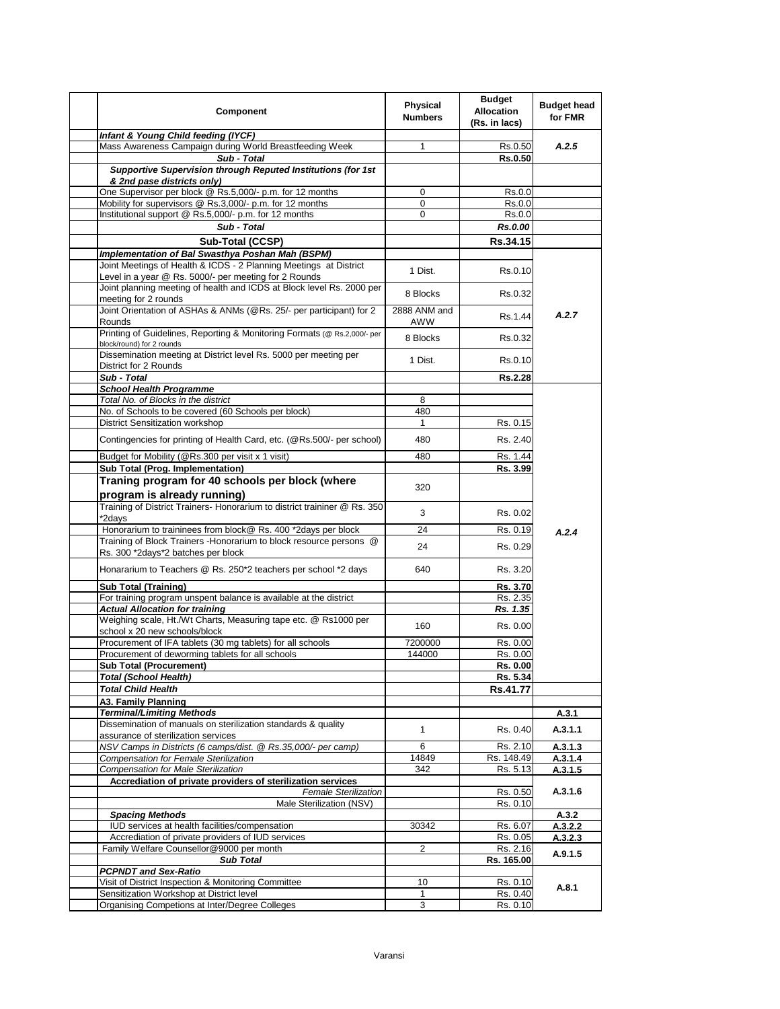| Component                                                                                                                  | Physical<br><b>Numbers</b> | <b>Budget</b><br><b>Allocation</b><br>(Rs. in lacs) | <b>Budget head</b><br>for FMR |
|----------------------------------------------------------------------------------------------------------------------------|----------------------------|-----------------------------------------------------|-------------------------------|
| Infant & Young Child feeding (IYCF)                                                                                        |                            |                                                     |                               |
| Mass Awareness Campaign during World Breastfeeding Week                                                                    | $\mathbf{1}$               | Rs.0.50                                             | A.2.5                         |
| Sub - Total                                                                                                                |                            | Rs.0.50                                             |                               |
| Supportive Supervision through Reputed Institutions (for 1st<br>& 2nd pase districts only)                                 |                            |                                                     |                               |
| One Supervisor per block @ Rs.5,000/- p.m. for 12 months                                                                   | 0                          | Rs.0.0                                              |                               |
| Mobility for supervisors @ Rs.3,000/- p.m. for 12 months                                                                   | 0                          | Rs.0.0                                              |                               |
| Institutional support @ Rs.5,000/- p.m. for 12 months                                                                      | 0                          | Rs.0.0                                              |                               |
| Sub - Total                                                                                                                |                            | Rs.0.00                                             |                               |
| Sub-Total (CCSP)                                                                                                           |                            | Rs.34.15                                            |                               |
| Implementation of Bal Swasthya Poshan Mah (BSPM)                                                                           |                            |                                                     |                               |
| Joint Meetings of Health & ICDS - 2 Planning Meetings at District<br>Level in a year @ Rs. 5000/- per meeting for 2 Rounds | 1 Dist.                    | Rs.0.10                                             |                               |
| Joint planning meeting of health and ICDS at Block level Rs. 2000 per<br>meeting for 2 rounds                              | 8 Blocks                   | Rs 0.32                                             |                               |
| Joint Orientation of ASHAs & ANMs (@Rs. 25/- per participant) for 2<br>Rounds                                              | 2888 ANM and<br>AWW        | Rs.1.44                                             | A.2.7                         |
| Printing of Guidelines, Reporting & Monitoring Formats (@ Rs.2,000/- per<br>block/round) for 2 rounds                      | 8 Blocks                   | Rs.0.32                                             |                               |
| Dissemination meeting at District level Rs. 5000 per meeting per<br>District for 2 Rounds                                  | 1 Dist.                    | Rs 0.10                                             |                               |
| Sub - Total                                                                                                                |                            | <b>Rs.2.28</b>                                      |                               |
| <b>School Health Programme</b>                                                                                             |                            |                                                     |                               |
| Total No. of Blocks in the district                                                                                        | 8                          |                                                     |                               |
| No. of Schools to be covered (60 Schools per block)                                                                        | 480                        |                                                     |                               |
| District Sensitization workshop                                                                                            | $\mathbf{1}$               | Rs. 0.15                                            |                               |
| Contingencies for printing of Health Card, etc. (@Rs.500/- per school)                                                     | 480                        | Rs. 2.40                                            |                               |
| Budget for Mobility (@Rs.300 per visit x 1 visit)                                                                          | 480                        | Rs. 1.44                                            |                               |
| Sub Total (Prog. Implementation)                                                                                           |                            | Rs. 3.99                                            |                               |
| Traning program for 40 schools per block (where<br>program is already running)                                             | 320                        |                                                     |                               |
| Training of District Trainers- Honorarium to district traininer @ Rs. 350<br>*2days                                        | 3                          | Rs. 0.02                                            |                               |
| Honorarium to traininees from block@ Rs. 400 *2days per block                                                              | 24                         | Rs. 0.19                                            | A.2.4                         |
| Training of Block Trainers - Honorarium to block resource persons @<br>Rs. 300 *2days*2 batches per block                  | 24                         | Rs. 0.29                                            |                               |
| Honararium to Teachers @ Rs. 250*2 teachers per school *2 days                                                             | 640                        | Rs. 3.20                                            |                               |
| <b>Sub Total (Training)</b>                                                                                                |                            | Rs. 3.70                                            |                               |
| For training program unspent balance is available at the district                                                          |                            | Rs. 2.35                                            |                               |
| <b>Actual Allocation for training</b>                                                                                      |                            | Rs. 1.35                                            |                               |
| Weighing scale, Ht./Wt Charts, Measuring tape etc. @ Rs1000 per<br>school x 20 new schools/block                           | 160                        | Rs. 0.00                                            |                               |
| Procurement of IFA tablets (30 mg tablets) for all schools                                                                 | 7200000                    | Rs. 0.00                                            |                               |
| Procurement of deworming tablets for all schools                                                                           | 144000                     | Rs. 0.00                                            |                               |
| <b>Sub Total (Procurement)</b><br><b>Total (School Health)</b>                                                             |                            | Rs. 0.00                                            |                               |
| <b>Total Child Health</b>                                                                                                  |                            | Rs. 5.34<br>Rs.41.77                                |                               |
| A3. Family Planning                                                                                                        |                            |                                                     |                               |
| <b>Terminal/Limiting Methods</b>                                                                                           |                            |                                                     | A.3.1                         |
| Dissemination of manuals on sterilization standards & quality                                                              |                            |                                                     |                               |
| assurance of sterilization services                                                                                        | $\mathbf{1}$               | Rs. 0.40                                            | A.3.1.1                       |
| NSV Camps in Districts (6 camps/dist. @ Rs.35,000/- per camp)                                                              | 6                          | Rs. 2.10                                            | A.3.1.3                       |
| Compensation for Female Sterilization                                                                                      | 14849                      | Rs. 148.49                                          | A.3.1.4                       |
| <b>Compensation for Male Sterilization</b>                                                                                 | 342                        | Rs. 5.13                                            | A.3.1.5                       |
| Accrediation of private providers of sterilization services<br><b>Female Sterilization</b>                                 |                            | Rs. 0.50                                            | A.3.1.6                       |
| Male Sterilization (NSV)                                                                                                   |                            | Rs. 0.10                                            |                               |
| <b>Spacing Methods</b>                                                                                                     |                            |                                                     | A.3.2                         |
| IUD services at health facilities/compensation                                                                             | 30342                      | Rs. 6.07                                            | A.3.2.2                       |
| Accrediation of private providers of IUD services                                                                          |                            | Rs. 0.05                                            | A.3.2.3                       |
| Family Welfare Counsellor@9000 per month                                                                                   | $\overline{2}$             | Rs. 2.16                                            | A.9.1.5                       |
| <b>Sub Total</b>                                                                                                           |                            | Rs. 165.00                                          |                               |
| <b>PCPNDT and Sex-Ratio</b>                                                                                                |                            |                                                     |                               |
| Visit of District Inspection & Monitoring Committee<br>Sensitization Workshop at District level                            | 10<br>1                    | Rs. 0.10<br>Rs. 0.40                                | A.8.1                         |
| Organising Competions at Inter/Degree Colleges                                                                             | 3                          | Rs. 0.10                                            |                               |
|                                                                                                                            |                            |                                                     |                               |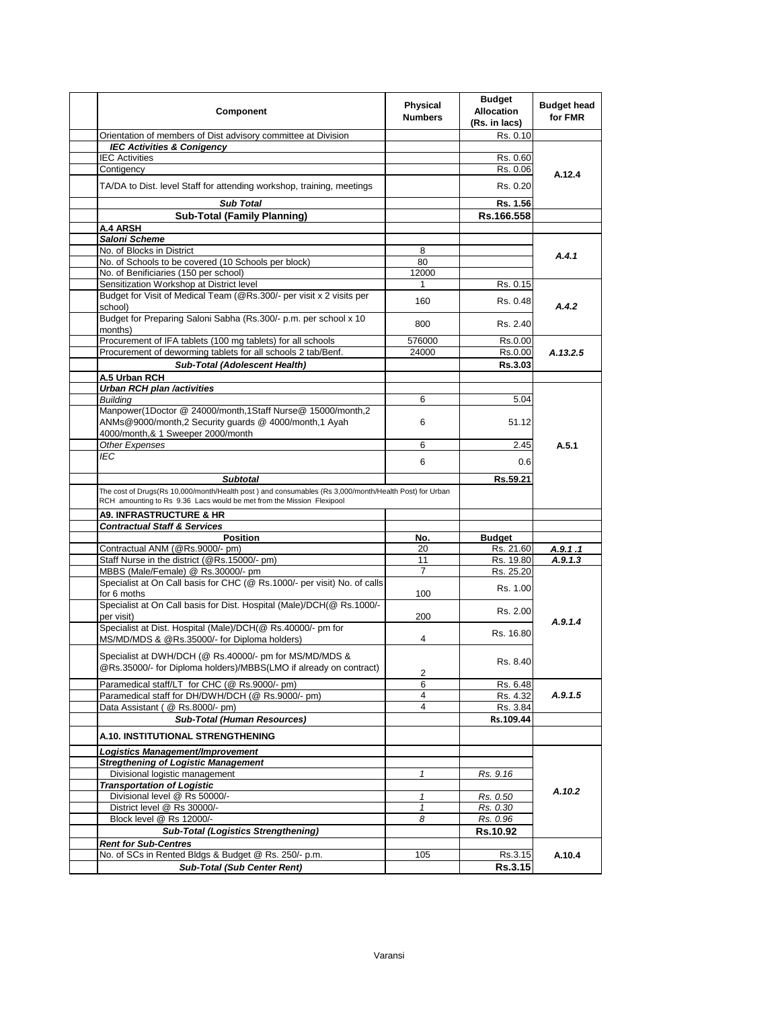| Component                                                                                                                   | Physical<br><b>Numbers</b> | <b>Budget</b><br><b>Allocation</b><br>(Rs. in lacs) | <b>Budget head</b><br>for FMR |
|-----------------------------------------------------------------------------------------------------------------------------|----------------------------|-----------------------------------------------------|-------------------------------|
| Orientation of members of Dist advisory committee at Division                                                               |                            | Rs. 0.10                                            |                               |
| <b>IEC Activities &amp; Conigency</b>                                                                                       |                            |                                                     |                               |
| <b>IEC Activities</b>                                                                                                       |                            | Rs. 0.60                                            |                               |
| Contigency                                                                                                                  |                            | Rs. 0.06                                            | A.12.4                        |
| TA/DA to Dist. level Staff for attending workshop, training, meetings                                                       |                            | Rs. 0.20                                            |                               |
| <b>Sub Total</b>                                                                                                            |                            | Rs. 1.56                                            |                               |
| <b>Sub-Total (Family Planning)</b>                                                                                          |                            | Rs.166.558                                          |                               |
| <b>A.4 ARSH</b>                                                                                                             |                            |                                                     |                               |
| <b>Saloni Scheme</b>                                                                                                        |                            |                                                     |                               |
| No. of Blocks in District                                                                                                   | 8                          |                                                     | A.4.1                         |
| No. of Schools to be covered (10 Schools per block)                                                                         | 80                         |                                                     |                               |
| No. of Benificiaries (150 per school)                                                                                       | 12000                      |                                                     |                               |
| Sensitization Workshop at District level                                                                                    | 1                          | Rs. 0.15                                            |                               |
| Budget for Visit of Medical Team (@Rs.300/- per visit x 2 visits per<br>school)                                             | 160                        | Rs. 0.48                                            | A.4.2                         |
| Budget for Preparing Saloni Sabha (Rs.300/- p.m. per school x 10<br>months)                                                 | 800                        | Rs. 2.40                                            |                               |
| Procurement of IFA tablets (100 mg tablets) for all schools                                                                 | 576000                     | Rs.0.00                                             |                               |
| Procurement of deworming tablets for all schools 2 tab/Benf.                                                                | 24000                      | Rs.0.00                                             | A.13.2.5                      |
| Sub-Total (Adolescent Health)                                                                                               |                            | Rs.3.03                                             |                               |
| A.5 Urban RCH                                                                                                               |                            |                                                     |                               |
| Urban RCH plan /activities                                                                                                  |                            |                                                     |                               |
| <b>Building</b><br>Manpower(1Doctor @ 24000/month,1Staff Nurse@ 15000/month,2                                               | 6                          | 5.04                                                |                               |
| ANMs@9000/month,2 Security guards @ 4000/month,1 Ayah<br>4000/month,& 1 Sweeper 2000/month                                  | 6                          | 51.12                                               |                               |
| Other Expenses                                                                                                              | 6                          | 2.45                                                | A.5.1                         |
| IEC                                                                                                                         |                            |                                                     |                               |
|                                                                                                                             | 6                          | 0.6                                                 |                               |
| <b>Subtotal</b>                                                                                                             |                            | Rs.59.21                                            |                               |
| The cost of Drugs(Rs 10,000/month/Health post) and consumables (Rs 3,000/month/Health Post) for Urban                       |                            |                                                     |                               |
| RCH amounting to Rs 9.36 Lacs would be met from the Mission Flexipool                                                       |                            |                                                     |                               |
| <b>A9. INFRASTRUCTURE &amp; HR</b>                                                                                          |                            |                                                     |                               |
| <b>Contractual Staff &amp; Services</b>                                                                                     |                            |                                                     |                               |
| <b>Position</b><br>Contractual ANM (@Rs.9000/- pm)                                                                          | No.<br>20                  | <b>Budget</b><br>Rs. 21.60                          | A.9.1.1                       |
| Staff Nurse in the district (@Rs.15000/- pm)                                                                                | 11                         | Rs. 19.80                                           | A.9.1.3                       |
| MBBS (Male/Female) @ Rs.30000/- pm                                                                                          | 7                          | Rs. 25.20                                           |                               |
| Specialist at On Call basis for CHC (@ Rs.1000/- per visit) No. of calls<br>for 6 moths                                     | 100                        | Rs. 1.00                                            |                               |
| Specialist at On Call basis for Dist. Hospital (Male)/DCH(@ Rs.1000/-<br>per visit)                                         | 200                        | Rs. 2.00                                            | A.9.1.4                       |
| Specialist at Dist. Hospital (Male)/DCH(@ Rs.40000/- pm for<br>MS/MD/MDS & @Rs.35000/- for Diploma holders)                 | 4                          | Rs. 16.80                                           |                               |
| Specialist at DWH/DCH (@ Rs.40000/- pm for MS/MD/MDS &<br>@Rs.35000/- for Diploma holders)/MBBS(LMO if already on contract) | 2                          | Rs. 8.40                                            |                               |
| Paramedical staff/LT for CHC (@ Rs.9000/- pm)                                                                               | 6                          | Rs. 6.48                                            |                               |
| Paramedical staff for DH/DWH/DCH (@ Rs.9000/- pm)                                                                           | 4                          | Rs. 4.32                                            | A.9.1.5                       |
| Data Assistant ( @ Rs.8000/- pm)                                                                                            | 4                          | Rs. 3.84                                            |                               |
| <b>Sub-Total (Human Resources)</b>                                                                                          |                            | Rs.109.44                                           |                               |
| A.10. INSTITUTIONAL STRENGTHENING                                                                                           |                            |                                                     |                               |
| Logistics Management/Improvement                                                                                            |                            |                                                     |                               |
| <b>Stregthening of Logistic Management</b>                                                                                  |                            |                                                     |                               |
| Divisional logistic management<br><b>Transportation of Logistic</b>                                                         | 1                          | Rs. 9.16                                            |                               |
| Divisional level @ Rs 50000/-                                                                                               | 1                          | Rs. 0.50                                            | A.10.2                        |
| District level @ Rs 30000/-                                                                                                 | 1                          | Rs. 0.30                                            |                               |
| Block level @ Rs 12000/-                                                                                                    | 8                          | Rs. 0.96                                            |                               |
| <b>Sub-Total (Logistics Strengthening)</b>                                                                                  |                            | Rs.10.92                                            |                               |
| <b>Rent for Sub-Centres</b>                                                                                                 |                            |                                                     |                               |
| No. of SCs in Rented Bldgs & Budget @ Rs. 250/- p.m.                                                                        | 105                        | Rs.3.15                                             | A.10.4                        |
| <b>Sub-Total (Sub Center Rent)</b>                                                                                          |                            | <b>Rs.3.15</b>                                      |                               |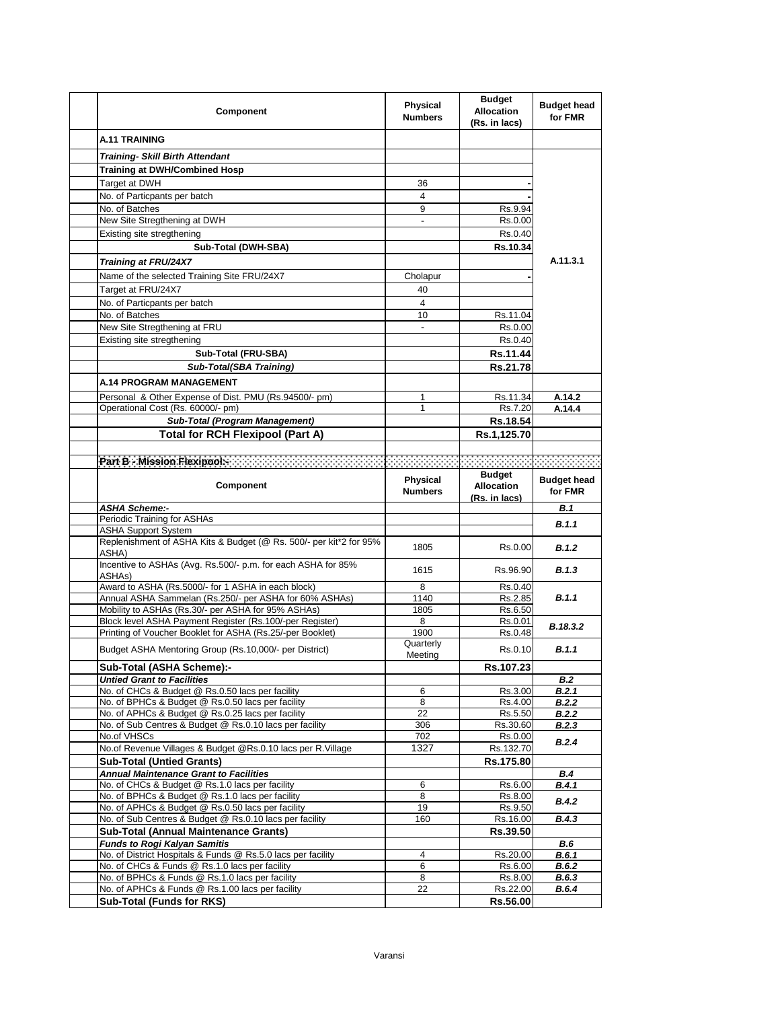| Component                                                                                            | Physical<br><b>Numbers</b> | <b>Budget</b><br><b>Allocation</b><br>(Rs. in lacs) | <b>Budget head</b><br>for FMR |
|------------------------------------------------------------------------------------------------------|----------------------------|-----------------------------------------------------|-------------------------------|
| <b>A.11 TRAINING</b>                                                                                 |                            |                                                     |                               |
| <b>Training- Skill Birth Attendant</b>                                                               |                            |                                                     |                               |
| <b>Training at DWH/Combined Hosp</b>                                                                 |                            |                                                     |                               |
| Target at DWH                                                                                        | 36                         |                                                     |                               |
| No. of Particpants per batch                                                                         | $\overline{4}$             |                                                     |                               |
| No. of Batches                                                                                       | 9                          | Rs.9.94                                             |                               |
| New Site Stregthening at DWH                                                                         |                            | Rs.0.00                                             |                               |
| Existing site stregthening                                                                           |                            | Rs 0.40                                             |                               |
| Sub-Total (DWH-SBA)                                                                                  |                            | Rs.10.34                                            |                               |
| <b>Training at FRU/24X7</b>                                                                          |                            |                                                     | A.11.3.1                      |
| Name of the selected Training Site FRU/24X7                                                          | Cholapur                   |                                                     |                               |
| Target at FRU/24X7                                                                                   | 40                         |                                                     |                               |
| No. of Particpants per batch                                                                         | 4                          |                                                     |                               |
| No. of Batches                                                                                       | 10                         | Rs.11.04                                            |                               |
| New Site Stregthening at FRU                                                                         |                            | Rs.0.00                                             |                               |
| Existing site stregthening                                                                           |                            | Rs 0.40                                             |                               |
| Sub-Total (FRU-SBA)                                                                                  |                            | Rs.11.44                                            |                               |
| <b>Sub-Total(SBA Training)</b>                                                                       |                            | <b>Rs.21.78</b>                                     |                               |
| <b>A.14 PROGRAM MANAGEMENT</b>                                                                       |                            |                                                     |                               |
|                                                                                                      |                            |                                                     |                               |
| Personal & Other Expense of Dist. PMU (Rs.94500/- pm)<br>Operational Cost (Rs. 60000/- pm)           | 1                          | Rs.11.34<br>Rs.7.20                                 | A.14.2<br>A.14.4              |
| <b>Sub-Total (Program Management)</b>                                                                |                            | Rs.18.54                                            |                               |
| <b>Total for RCH Flexipool (Part A)</b>                                                              |                            | Rs.1,125.70                                         |                               |
|                                                                                                      |                            |                                                     |                               |
| Part B - Mission Rexipedia and accountability of the Contract of Contract of Contract of Contract of |                            |                                                     |                               |
|                                                                                                      |                            |                                                     |                               |
| Component                                                                                            | Physical<br><b>Numbers</b> | <b>Budget</b><br><b>Allocation</b><br>(Rs. in lacs) | <b>Budget head</b><br>for FMR |
| <b>ASHA Scheme:-</b>                                                                                 |                            |                                                     | <b>B.1</b>                    |
|                                                                                                      |                            |                                                     |                               |
| Periodic Training for ASHAs                                                                          |                            |                                                     | B.1.1                         |
| <b>ASHA Support System</b>                                                                           |                            |                                                     |                               |
| Replenishment of ASHA Kits & Budget (@ Rs. 500/- per kit*2 for 95%                                   | 1805                       | Rs 0.00                                             | B.1.2                         |
| ASHA)<br>Incentive to ASHAs (Avg. Rs.500/- p.m. for each ASHA for 85%                                |                            |                                                     |                               |
| ASHAs)                                                                                               | 1615                       | Rs 96 90                                            | B.1.3                         |
| Award to ASHA (Rs.5000/- for 1 ASHA in each block)                                                   | 8                          | Rs 0.40                                             |                               |
| Annual ASHA Sammelan (Rs.250/- per ASHA for 60% ASHAs)                                               | 1140                       | Rs.2.85                                             | B.1.1                         |
| Mobility to ASHAs (Rs.30/- per ASHA for 95% ASHAs)                                                   | 1805                       | Rs.6.50                                             |                               |
| Block level ASHA Payment Register (Rs.100/-per Register)                                             | 8                          | Rs.0.01                                             | B.18.3.2                      |
| Printing of Voucher Booklet for ASHA (Rs.25/-per Booklet)                                            | 1900                       | Rs.0.48                                             |                               |
| Budget ASHA Mentoring Group (Rs.10,000/- per District)                                               | Quarterly<br>Meeting       | Rs 0.10                                             | B.1.1                         |
| Sub-Total (ASHA Scheme):-                                                                            |                            | Rs.107.23                                           |                               |
| <b>Untied Grant to Facilities</b>                                                                    |                            |                                                     | B.2                           |
| No. of CHCs & Budget @ Rs.0.50 lacs per facility                                                     | 6                          | Rs.3.00                                             | B.2.1                         |
| No. of BPHCs & Budget @ Rs.0.50 lacs per facility                                                    | 8                          | Rs.4.00                                             | B.2.2                         |
| No. of APHCs & Budget @ Rs.0.25 lacs per facility                                                    | 22                         | Rs.5.50                                             | B.2.2                         |
| No. of Sub Centres & Budget @ Rs.0.10 lacs per facility                                              | 306                        | Rs.30.60                                            | <b>B.2.3</b>                  |
| No.of VHSCs                                                                                          | 702                        | Rs.0.00                                             | B.2.4                         |
| No.of Revenue Villages & Budget @Rs.0.10 lacs per R.Village                                          | 1327                       | Rs.132.70                                           |                               |
| <b>Sub-Total (Untied Grants)</b><br><b>Annual Maintenance Grant to Facilities</b>                    |                            | Rs.175.80                                           | B.4                           |
| No. of CHCs & Budget @ Rs.1.0 lacs per facility                                                      | 6                          | Rs.6.00                                             | B.4.1                         |
| No. of BPHCs & Budget @ Rs.1.0 lacs per facility                                                     | 8                          | Rs.8.00                                             |                               |
| No. of APHCs & Budget @ Rs.0.50 lacs per facility                                                    | 19                         | Rs.9.50                                             | <b>B.4.2</b>                  |
| No. of Sub Centres & Budget @ Rs.0.10 lacs per facility                                              | 160                        | Rs.16.00                                            | B.4.3                         |
| <b>Sub-Total (Annual Maintenance Grants)</b>                                                         |                            | Rs.39.50                                            |                               |
| <b>Funds to Rogi Kalyan Samitis</b>                                                                  |                            |                                                     | B.6                           |
| No. of District Hospitals & Funds @ Rs.5.0 lacs per facility                                         | 4                          | Rs.20.00                                            | B.6.1                         |
| No. of CHCs & Funds @ Rs.1.0 lacs per facility                                                       | 6                          | Rs.6.00                                             | B.6.2                         |
| No. of BPHCs & Funds @ Rs.1.0 lacs per facility<br>No. of APHCs & Funds @ Rs.1.00 lacs per facility  | 8<br>22                    | Rs.8.00<br>Rs.22.00                                 | B.6.3<br><b>B.6.4</b>         |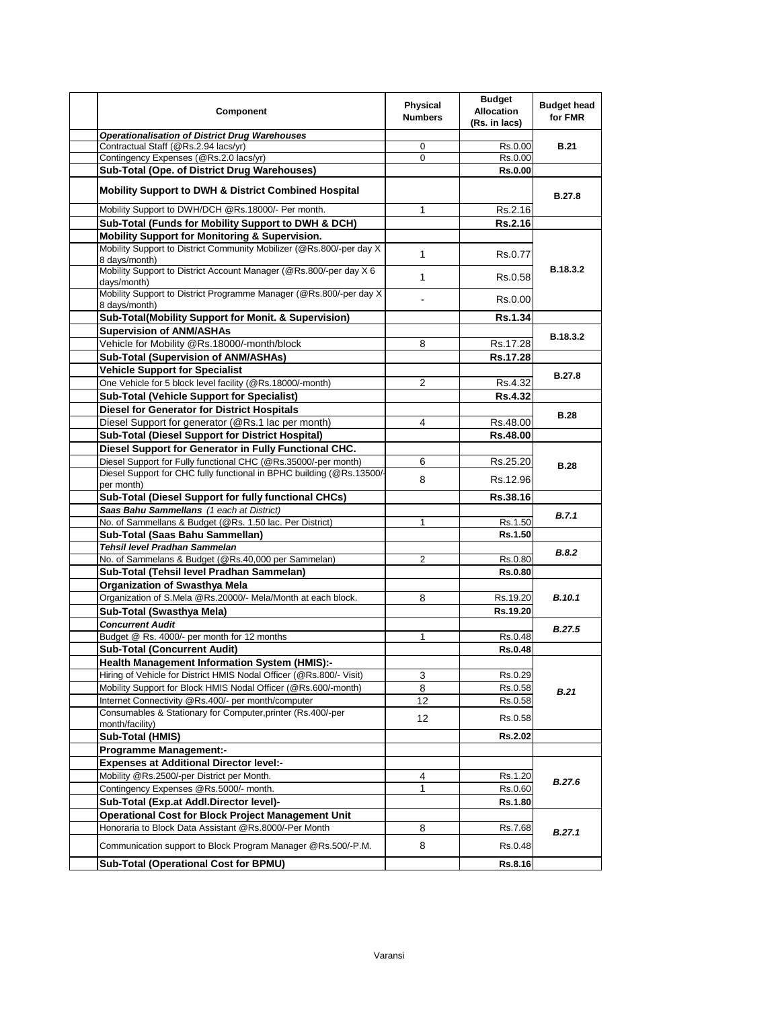| <b>Component</b>                                                                      | <b>Physical</b><br><b>Numbers</b> | <b>Budget</b><br><b>Allocation</b><br>(Rs. in lacs) | <b>Budget head</b><br>for FMR |
|---------------------------------------------------------------------------------------|-----------------------------------|-----------------------------------------------------|-------------------------------|
| <b>Operationalisation of District Drug Warehouses</b>                                 |                                   |                                                     |                               |
| Contractual Staff (@Rs.2.94 lacs/yr)                                                  | 0                                 | Rs.0.00                                             | <b>B.21</b>                   |
| Contingency Expenses (@Rs.2.0 lacs/yr)                                                | $\Omega$                          | Rs.0.00                                             |                               |
| Sub-Total (Ope. of District Drug Warehouses)                                          |                                   | <b>Rs.0.00</b>                                      |                               |
| <b>Mobility Support to DWH &amp; District Combined Hospital</b>                       |                                   |                                                     | <b>B.27.8</b>                 |
| Mobility Support to DWH/DCH @Rs.18000/- Per month.                                    | 1                                 | Rs.2.16                                             |                               |
| Sub-Total (Funds for Mobility Support to DWH & DCH)                                   |                                   | Rs.2.16                                             |                               |
| Mobility Support for Monitoring & Supervision.                                        |                                   |                                                     |                               |
| Mobility Support to District Community Mobilizer (@Rs.800/-per day X<br>8 days/month) | $\mathbf{1}$                      | Rs.0.77                                             |                               |
| Mobility Support to District Account Manager (@Rs.800/-per day X 6)<br>days/month)    | 1                                 | Rs.0.58                                             | B.18.3.2                      |
| Mobility Support to District Programme Manager (@Rs.800/-per day X<br>8 days/month)   |                                   | Rs.0.00                                             |                               |
| Sub-Total(Mobility Support for Monit. & Supervision)                                  |                                   | <b>Rs.1.34</b>                                      |                               |
| <b>Supervision of ANM/ASHAs</b>                                                       |                                   |                                                     |                               |
| Vehicle for Mobility @Rs.18000/-month/block                                           | 8                                 | Rs.17.28                                            | B.18.3.2                      |
| Sub-Total (Supervision of ANM/ASHAs)                                                  |                                   | Rs.17.28                                            |                               |
| <b>Vehicle Support for Specialist</b>                                                 |                                   |                                                     |                               |
| One Vehicle for 5 block level facility (@Rs.18000/-month)                             | $\overline{2}$                    |                                                     | <b>B.27.8</b>                 |
|                                                                                       |                                   | Rs.4.32                                             |                               |
| <b>Sub-Total (Vehicle Support for Specialist)</b>                                     |                                   | <b>Rs.4.32</b>                                      |                               |
| <b>Diesel for Generator for District Hospitals</b>                                    |                                   |                                                     | <b>B.28</b>                   |
| Diesel Support for generator (@Rs.1 lac per month)                                    | 4                                 | Rs.48.00                                            |                               |
| <b>Sub-Total (Diesel Support for District Hospital)</b>                               |                                   | <b>Rs.48.00</b>                                     |                               |
| Diesel Support for Generator in Fully Functional CHC.                                 |                                   |                                                     |                               |
| Diesel Support for Fully functional CHC (@Rs.35000/-per month)                        | 6                                 | Rs.25.20                                            | <b>B.28</b>                   |
| Diesel Support for CHC fully functional in BPHC building (@Rs.13500/-<br>per month)   | 8                                 | Rs.12.96                                            |                               |
| Sub-Total (Diesel Support for fully functional CHCs)                                  |                                   | Rs.38.16                                            |                               |
| Saas Bahu Sammellans (1 each at District)                                             |                                   |                                                     | B.7.1                         |
| No. of Sammellans & Budget (@Rs. 1.50 lac. Per District)                              | $\mathbf{1}$                      | Rs.1.50                                             |                               |
| Sub-Total (Saas Bahu Sammellan)                                                       |                                   | <b>Rs.1.50</b>                                      |                               |
| Tehsil level Pradhan Sammelan                                                         |                                   |                                                     | B.8.2                         |
| No. of Sammelans & Budget (@Rs.40,000 per Sammelan)                                   | 2                                 | Rs.0.80                                             |                               |
| Sub-Total (Tehsil level Pradhan Sammelan)                                             |                                   | <b>Rs.0.80</b>                                      |                               |
| <b>Organization of Swasthya Mela</b>                                                  |                                   |                                                     |                               |
| Organization of S.Mela @Rs.20000/- Mela/Month at each block.                          | 8                                 | Rs.19.20                                            | <b>B.10.1</b>                 |
| Sub-Total (Swasthya Mela)                                                             |                                   | Rs.19.20                                            |                               |
| <b>Concurrent Audit</b>                                                               |                                   |                                                     |                               |
| Budget @ Rs. 4000/- per month for 12 months                                           | $\mathbf{1}$                      | Rs.0.48                                             | <b>B.27.5</b>                 |
| <b>Sub-Total (Concurrent Audit)</b>                                                   |                                   | <b>Rs.0.48</b>                                      |                               |
| <b>Health Management Information System (HMIS):-</b>                                  |                                   |                                                     |                               |
| Hiring of Vehicle for District HMIS Nodal Officer (@Rs.800/- Visit)                   | 3                                 | Rs.0.29                                             |                               |
| Mobility Support for Block HMIS Nodal Officer (@Rs.600/-month)                        | 8                                 | Rs.0.58                                             |                               |
| Internet Connectivity @Rs.400/- per month/computer                                    | 12                                | Rs.0.58                                             | B.21                          |
| Consumables & Stationary for Computer, printer (Rs.400/-per                           |                                   |                                                     |                               |
| month/facility)                                                                       | 12                                | Rs.0.58                                             |                               |
| Sub-Total (HMIS)                                                                      |                                   | <b>Rs.2.02</b>                                      |                               |
| <b>Programme Management:-</b>                                                         |                                   |                                                     |                               |
| <b>Expenses at Additional Director level:-</b>                                        |                                   |                                                     |                               |
| Mobility @Rs.2500/-per District per Month.                                            | 4                                 | Rs.1.20                                             | B.27.6                        |
| Contingency Expenses @Rs.5000/- month.                                                | 1                                 | Rs.0.60                                             |                               |
| Sub-Total (Exp.at Addl.Director level)-                                               |                                   | Rs.1.80                                             |                               |
| <b>Operational Cost for Block Project Management Unit</b>                             |                                   |                                                     |                               |
| Honoraria to Block Data Assistant @Rs.8000/-Per Month                                 | 8                                 | Rs.7.68                                             | B.27.1                        |
| Communication support to Block Program Manager @Rs.500/-P.M.                          | 8                                 | Rs.0.48                                             |                               |
| Sub-Total (Operational Cost for BPMU)                                                 |                                   | <b>Rs.8.16</b>                                      |                               |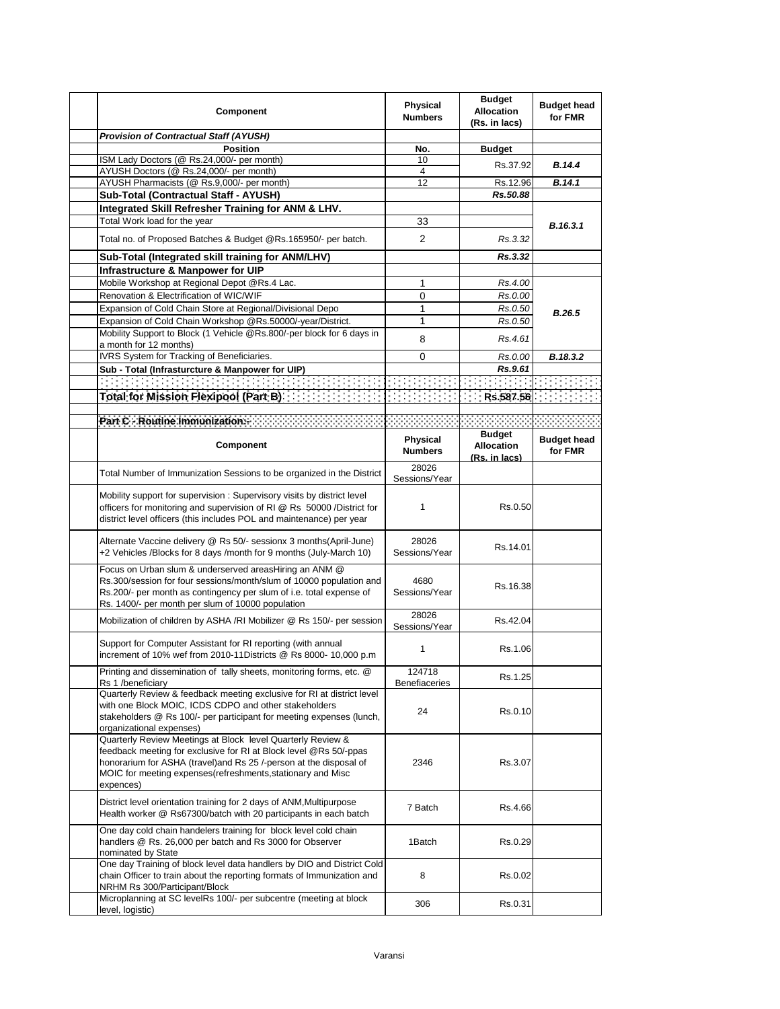| Component                                                                                                                                                                                                                                                                          | Physical<br><b>Numbers</b> | <b>Budget</b><br><b>Allocation</b><br>(Rs. in lacs) | <b>Budget head</b><br>for FMR |
|------------------------------------------------------------------------------------------------------------------------------------------------------------------------------------------------------------------------------------------------------------------------------------|----------------------------|-----------------------------------------------------|-------------------------------|
| Provision of Contractual Staff (AYUSH)                                                                                                                                                                                                                                             |                            |                                                     |                               |
| <b>Position</b>                                                                                                                                                                                                                                                                    | No.                        | <b>Budget</b>                                       |                               |
| ISM Lady Doctors (@ Rs.24,000/- per month)                                                                                                                                                                                                                                         | 10                         | Rs.37.92                                            | <b>B.14.4</b>                 |
| AYUSH Doctors (@ Rs.24,000/- per month)                                                                                                                                                                                                                                            | 4                          |                                                     |                               |
| AYUSH Pharmacists (@ Rs.9,000/- per month)                                                                                                                                                                                                                                         | 12                         | Rs.12.96                                            | B.14.1                        |
| Sub-Total (Contractual Staff - AYUSH)                                                                                                                                                                                                                                              |                            | Rs.50.88                                            |                               |
| Integrated Skill Refresher Training for ANM & LHV.                                                                                                                                                                                                                                 |                            |                                                     |                               |
| Total Work load for the year                                                                                                                                                                                                                                                       | 33                         |                                                     | B.16.3.1                      |
| Total no. of Proposed Batches & Budget @Rs.165950/- per batch.                                                                                                                                                                                                                     | $\overline{2}$             | Rs.3.32                                             |                               |
| Sub-Total (Integrated skill training for ANM/LHV)                                                                                                                                                                                                                                  |                            | Rs.3.32                                             |                               |
| Infrastructure & Manpower for UIP                                                                                                                                                                                                                                                  |                            |                                                     |                               |
| Mobile Workshop at Regional Depot @Rs.4 Lac.                                                                                                                                                                                                                                       | 1                          | Rs.4.00                                             |                               |
| Renovation & Electrification of WIC/WIF                                                                                                                                                                                                                                            | 0                          | Rs.0.00                                             |                               |
| Expansion of Cold Chain Store at Regional/Divisional Depo                                                                                                                                                                                                                          | 1                          | Rs.0.50                                             | B.26.5                        |
| Expansion of Cold Chain Workshop @Rs.50000/-year/District.                                                                                                                                                                                                                         | 1                          | Rs.0.50                                             |                               |
| Mobility Support to Block (1 Vehicle @Rs.800/-per block for 6 days in                                                                                                                                                                                                              |                            |                                                     |                               |
| a month for 12 months)                                                                                                                                                                                                                                                             | 8                          | Rs.4.61                                             |                               |
| IVRS System for Tracking of Beneficiaries.                                                                                                                                                                                                                                         | 0                          | Rs.0.00                                             | B.18.3.2                      |
| Sub - Total (Infrasturcture & Manpower for UIP)                                                                                                                                                                                                                                    |                            | Rs.9.61                                             |                               |
|                                                                                                                                                                                                                                                                                    |                            |                                                     |                               |
| <b>Total for Mission Flexipool (Part B)</b>                                                                                                                                                                                                                                        |                            | Rs.587.56                                           |                               |
|                                                                                                                                                                                                                                                                                    |                            |                                                     |                               |
| Part C - Routine Immunization:                                                                                                                                                                                                                                                     |                            |                                                     |                               |
|                                                                                                                                                                                                                                                                                    |                            | <b>Budget</b>                                       |                               |
| Component                                                                                                                                                                                                                                                                          | Physical<br><b>Numbers</b> | <b>Allocation</b><br>(Rs. in lacs)                  | <b>Budget head</b><br>for FMR |
| Total Number of Immunization Sessions to be organized in the District                                                                                                                                                                                                              | 28026<br>Sessions/Year     |                                                     |                               |
| Mobility support for supervision: Supervisory visits by district level<br>officers for monitoring and supervision of RI @ Rs 50000 /District for<br>district level officers (this includes POL and maintenance) per year                                                           | 1                          | Rs 0.50                                             |                               |
| Alternate Vaccine delivery @ Rs 50/- sessionx 3 months(April-June)<br>+2 Vehicles /Blocks for 8 days /month for 9 months (July-March 10)                                                                                                                                           | 28026<br>Sessions/Year     | Rs.14.01                                            |                               |
| Focus on Urban slum & underserved areasHiring an ANM @<br>Rs.300/session for four sessions/month/slum of 10000 population and<br>Rs.200/- per month as contingency per slum of i.e. total expense of<br>Rs. 1400/- per month per slum of 10000 population                          | 4680<br>Sessions/Year      | Rs.16.38                                            |                               |
| Mobilization of children by ASHA /RI Mobilizer @ Rs 150/- per session                                                                                                                                                                                                              | 28026<br>Sessions/Year     | Rs.42.04                                            |                               |
| Support for Computer Assistant for RI reporting (with annual<br>increment of 10% wef from 2010-11Districts @ Rs 8000-10,000 p.m                                                                                                                                                    | $\mathbf{1}$               | Rs.1.06                                             |                               |
| Printing and dissemination of tally sheets, monitoring forms, etc. @<br>Rs 1 /beneficiary                                                                                                                                                                                          | 124718<br>Benefiaceries    | Rs.1.25                                             |                               |
| Quarterly Review & feedback meeting exclusive for RI at district level<br>with one Block MOIC, ICDS CDPO and other stakeholders<br>stakeholders @ Rs 100/- per participant for meeting expenses (lunch,<br>organizational expenses)                                                | 24                         | Rs.0.10                                             |                               |
| Quarterly Review Meetings at Block level Quarterly Review &<br>feedback meeting for exclusive for RI at Block level @Rs 50/-ppas<br>honorarium for ASHA (travel)and Rs 25 /-person at the disposal of<br>MOIC for meeting expenses (refreshments, stationary and Misc<br>expences) | 2346                       | Rs.3.07                                             |                               |
| District level orientation training for 2 days of ANM, Multipurpose<br>Health worker @ Rs67300/batch with 20 participants in each batch                                                                                                                                            | 7 Batch                    | Rs.4.66                                             |                               |
| One day cold chain handelers training for block level cold chain<br>handlers @ Rs. 26,000 per batch and Rs 3000 for Observer<br>nominated by State                                                                                                                                 | 1Batch                     | Rs.0.29                                             |                               |
| One day Training of block level data handlers by DIO and District Cold<br>chain Officer to train about the reporting formats of Immunization and<br>NRHM Rs 300/Participant/Block                                                                                                  | 8                          | Rs.0.02                                             |                               |
| Microplanning at SC levelRs 100/- per subcentre (meeting at block<br>level, logistic)                                                                                                                                                                                              | 306                        | Rs 0.31                                             |                               |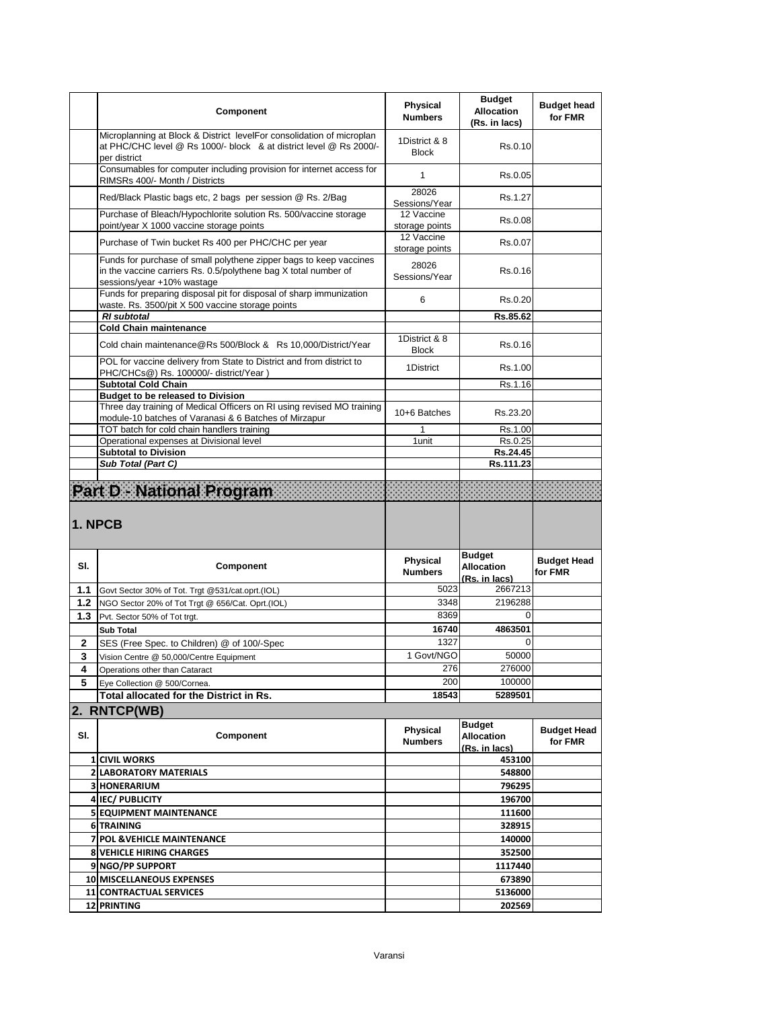|         | Component                                                                                                                                                           | Physical<br><b>Numbers</b>    | <b>Budget</b><br><b>Allocation</b><br>(Rs. in lacs) | <b>Budget head</b><br>for FMR |
|---------|---------------------------------------------------------------------------------------------------------------------------------------------------------------------|-------------------------------|-----------------------------------------------------|-------------------------------|
|         | Microplanning at Block & District levelFor consolidation of microplan<br>at PHC/CHC level @ Rs 1000/- block & at district level @ Rs 2000/-<br>per district         | 1District & 8<br><b>Block</b> | Rs.0.10                                             |                               |
|         | Consumables for computer including provision for internet access for<br>RIMSRs 400/- Month / Districts                                                              | 1                             | Rs.0.05                                             |                               |
|         | Red/Black Plastic bags etc, 2 bags per session @ Rs. 2/Bag                                                                                                          | 28026<br>Sessions/Year        | Rs.1.27                                             |                               |
|         | Purchase of Bleach/Hypochlorite solution Rs. 500/vaccine storage<br>point/year X 1000 vaccine storage points                                                        | 12 Vaccine<br>storage points  | Rs 0.08                                             |                               |
|         | Purchase of Twin bucket Rs 400 per PHC/CHC per year                                                                                                                 | 12 Vaccine<br>storage points  | Rs.0.07                                             |                               |
|         | Funds for purchase of small polythene zipper bags to keep vaccines<br>in the vaccine carriers Rs. 0.5/polythene bag X total number of<br>sessions/year +10% wastage | 28026<br>Sessions/Year        | Rs.0.16                                             |                               |
|         | Funds for preparing disposal pit for disposal of sharp immunization<br>waste. Rs. 3500/pit X 500 vaccine storage points                                             | 6                             | Rs 0.20                                             |                               |
|         | <b>RI</b> subtotal                                                                                                                                                  |                               | Rs.85.62                                            |                               |
|         | <b>Cold Chain maintenance</b>                                                                                                                                       | 1District & 8                 |                                                     |                               |
|         | Cold chain maintenance@Rs 500/Block & Rs 10,000/District/Year<br>POL for vaccine delivery from State to District and from district to                               | <b>Block</b>                  | Rs.0.16                                             |                               |
|         | PHC/CHCs@) Rs. 100000/- district/Year)                                                                                                                              | 1District                     | Rs 1.00                                             |                               |
|         | <b>Subtotal Cold Chain</b>                                                                                                                                          |                               | Rs.1.16                                             |                               |
|         | <b>Budget to be released to Division</b><br>Three day training of Medical Officers on RI using revised MO training                                                  |                               |                                                     |                               |
|         | module-10 batches of Varanasi & 6 Batches of Mirzapur                                                                                                               | 10+6 Batches                  | Rs.23.20                                            |                               |
|         | TOT batch for cold chain handlers training                                                                                                                          | 1                             | Rs.1.00                                             |                               |
|         | Operational expenses at Divisional level<br><b>Subtotal to Division</b>                                                                                             | 1 unit                        | Rs.0.25<br>Rs.24.45                                 |                               |
|         | Sub Total (Part C)                                                                                                                                                  |                               | Rs.111.23                                           |                               |
| 1. NPCB |                                                                                                                                                                     |                               |                                                     |                               |
| SI.     | Component                                                                                                                                                           | Physical<br><b>Numbers</b>    | <b>Budget</b><br><b>Allocation</b><br>(Rs. in lacs) | <b>Budget Head</b><br>for FMR |
| 1.1     | Govt Sector 30% of Tot. Trgt @531/cat.oprt.(IOL)                                                                                                                    | 5023                          | 2667213                                             |                               |
| 1.2     | NGO Sector 20% of Tot Trgt @ 656/Cat. Oprt. (IOL)                                                                                                                   | 3348                          | 2196288                                             |                               |
| 1.3     | Pvt. Sector 50% of Tot trgt.                                                                                                                                        | 8369                          | $\Omega$                                            |                               |
|         | <b>Sub Total</b>                                                                                                                                                    | 16740                         | 4863501                                             |                               |
| 2       | SES (Free Spec. to Children) @ of 100/-Spec                                                                                                                         | 1327                          | $\Omega$                                            |                               |
| 3       | Vision Centre @ 50,000/Centre Equipment                                                                                                                             | 1 Govt/NGO                    | 50000                                               |                               |
| 4<br>5  | Operations other than Cataract<br>Eve Collection @ 500/Cornea.                                                                                                      | 276<br>200                    | 276000<br>100000                                    |                               |
|         | Total allocated for the District in Rs.                                                                                                                             | 18543                         | 5289501                                             |                               |
|         | 2. RNTCP(WB)                                                                                                                                                        |                               |                                                     |                               |
| SI.     | Component                                                                                                                                                           | Physical<br><b>Numbers</b>    | <b>Budget</b><br><b>Allocation</b><br>(Rs. in lacs) | <b>Budget Head</b><br>for FMR |
|         | <b>1 CIVIL WORKS</b>                                                                                                                                                |                               | 453100                                              |                               |
|         | <b>2 LABORATORY MATERIALS</b>                                                                                                                                       |                               | 548800                                              |                               |
|         | <b>3 HONERARIUM</b>                                                                                                                                                 |                               | 796295                                              |                               |
|         | <b>4 IEC/ PUBLICITY</b>                                                                                                                                             |                               | 196700                                              |                               |
|         | <b>5 EQUIPMENT MAINTENANCE</b>                                                                                                                                      |                               | 111600                                              |                               |
|         | 6 TRAINING                                                                                                                                                          |                               | 328915                                              |                               |
|         | 7 POL & VEHICLE MAINTENANCE                                                                                                                                         |                               | 140000                                              |                               |
|         | <b>8 VEHICLE HIRING CHARGES</b><br>9 NGO/PP SUPPORT                                                                                                                 |                               | 352500<br>1117440                                   |                               |
|         |                                                                                                                                                                     |                               |                                                     |                               |
|         |                                                                                                                                                                     |                               |                                                     |                               |
|         | 10 MISCELLANEOUS EXPENSES<br>11 CONTRACTUAL SERVICES                                                                                                                |                               | 673890<br>5136000                                   |                               |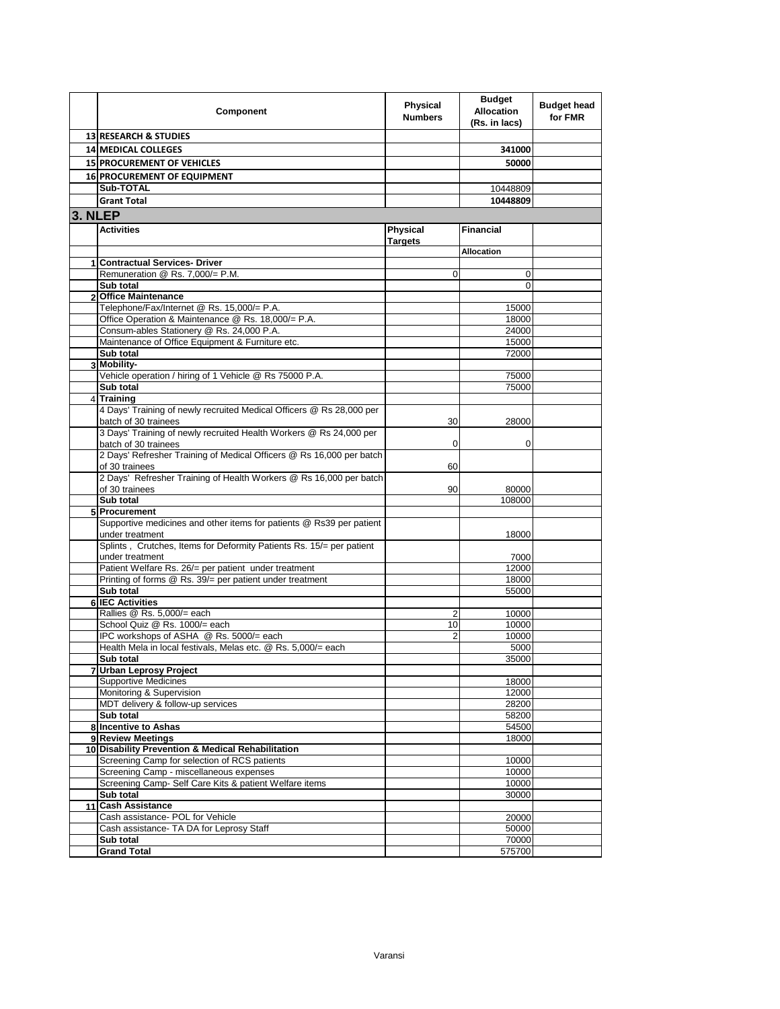|                | Component                                                                                    | Physical<br><b>Numbers</b> | <b>Budget</b><br><b>Allocation</b><br>(Rs. in lacs) | <b>Budget head</b><br>for FMR |
|----------------|----------------------------------------------------------------------------------------------|----------------------------|-----------------------------------------------------|-------------------------------|
|                | <b>13 RESEARCH &amp; STUDIES</b>                                                             |                            |                                                     |                               |
|                | <b>14 MEDICAL COLLEGES</b>                                                                   |                            | 341000                                              |                               |
|                | <b>15 PROCUREMENT OF VEHICLES</b>                                                            |                            | 50000                                               |                               |
|                | 16 PROCUREMENT OF EQUIPMENT                                                                  |                            |                                                     |                               |
|                | Sub-TOTAL                                                                                    |                            | 10448809                                            |                               |
|                | <b>Grant Total</b>                                                                           |                            | 10448809                                            |                               |
| 3. NLEP        |                                                                                              |                            |                                                     |                               |
|                | <b>Activities</b>                                                                            | Physical                   | <b>Financial</b>                                    |                               |
|                |                                                                                              | <b>Targets</b>             |                                                     |                               |
|                |                                                                                              |                            | <b>Allocation</b>                                   |                               |
| 1              | <b>Contractual Services- Driver</b>                                                          |                            |                                                     |                               |
|                | Remuneration @ Rs. 7,000/= P.M.                                                              | $\mathbf 0$                | 0                                                   |                               |
| $\overline{2}$ | Sub total<br><b>Office Maintenance</b>                                                       |                            | $\Omega$                                            |                               |
|                | Telephone/Fax/Internet @ Rs. 15,000/= P.A.                                                   |                            | 15000                                               |                               |
|                | Office Operation & Maintenance @ Rs. 18,000/= P.A.                                           |                            | 18000                                               |                               |
|                | Consum-ables Stationery @ Rs. 24,000 P.A.                                                    |                            | 24000                                               |                               |
|                | Maintenance of Office Equipment & Furniture etc.                                             |                            | 15000                                               |                               |
|                | Sub total                                                                                    |                            | 72000                                               |                               |
|                | 3 Mobility-                                                                                  |                            |                                                     |                               |
|                | Vehicle operation / hiring of 1 Vehicle @ Rs 75000 P.A.                                      |                            | 75000                                               |                               |
|                | Sub total                                                                                    |                            | 75000                                               |                               |
|                | 4 Training                                                                                   |                            |                                                     |                               |
|                | 4 Days' Training of newly recruited Medical Officers @ Rs 28,000 per<br>batch of 30 trainees | 30                         | 28000                                               |                               |
|                | 3 Days' Training of newly recruited Health Workers @ Rs 24,000 per                           |                            |                                                     |                               |
|                | batch of 30 trainees<br>2 Days' Refresher Training of Medical Officers @ Rs 16,000 per batch | 0                          | 0                                                   |                               |
|                | of 30 trainees                                                                               | 60                         |                                                     |                               |
|                | 2 Days' Refresher Training of Health Workers @ Rs 16,000 per batch<br>of 30 trainees         | 90                         | 80000                                               |                               |
|                | Sub total                                                                                    |                            | 108000                                              |                               |
|                | 5 Procurement                                                                                |                            |                                                     |                               |
|                | Supportive medicines and other items for patients @ Rs39 per patient<br>under treatment      |                            | 18000                                               |                               |
|                | Splints, Crutches, Items for Deformity Patients Rs. 15/= per patient<br>under treatment      |                            | 7000                                                |                               |
|                | Patient Welfare Rs. 26/= per patient under treatment                                         |                            | 12000                                               |                               |
|                | Printing of forms @ Rs. 39/= per patient under treatment                                     |                            | 18000                                               |                               |
|                | Sub total                                                                                    |                            | 55000                                               |                               |
| 6              | <b>IEC Activities</b>                                                                        |                            |                                                     |                               |
|                | Rallies @ Rs. 5,000/= each                                                                   | $\overline{2}$             | 10000                                               |                               |
|                | School Quiz @ Rs. 1000/= each                                                                | 10                         | 10000                                               |                               |
|                | IPC workshops of ASHA @ Rs. 5000/= each                                                      | $\overline{2}$             | 10000                                               |                               |
|                | Health Mela in local festivals, Melas etc. @ Rs. 5,000/= each<br>Sub total                   |                            | 5000<br>35000                                       |                               |
|                | 7 Urban Leprosy Project                                                                      |                            |                                                     |                               |
|                | <b>Supportive Medicines</b>                                                                  |                            | 18000                                               |                               |
|                | Monitoring & Supervision                                                                     |                            | 12000                                               |                               |
|                | MDT delivery & follow-up services                                                            |                            | 28200                                               |                               |
|                | Sub total                                                                                    |                            | 58200                                               |                               |
|                | 8 Incentive to Ashas                                                                         |                            | 54500                                               |                               |
|                | 9 Review Meetings                                                                            |                            | 18000                                               |                               |
|                | 10 Disability Prevention & Medical Rehabilitation                                            |                            |                                                     |                               |
|                | Screening Camp for selection of RCS patients                                                 |                            | 10000                                               |                               |
|                | Screening Camp - miscellaneous expenses                                                      |                            | 10000                                               |                               |
|                | Screening Camp- Self Care Kits & patient Welfare items<br>Sub total                          |                            | 10000<br>30000                                      |                               |
| 11             | <b>Cash Assistance</b>                                                                       |                            |                                                     |                               |
|                | Cash assistance- POL for Vehicle                                                             |                            | 20000                                               |                               |
|                | Cash assistance- TA DA for Leprosy Staff                                                     |                            | 50000                                               |                               |
|                | Sub total                                                                                    |                            | 70000                                               |                               |
|                | <b>Grand Total</b>                                                                           |                            | 575700                                              |                               |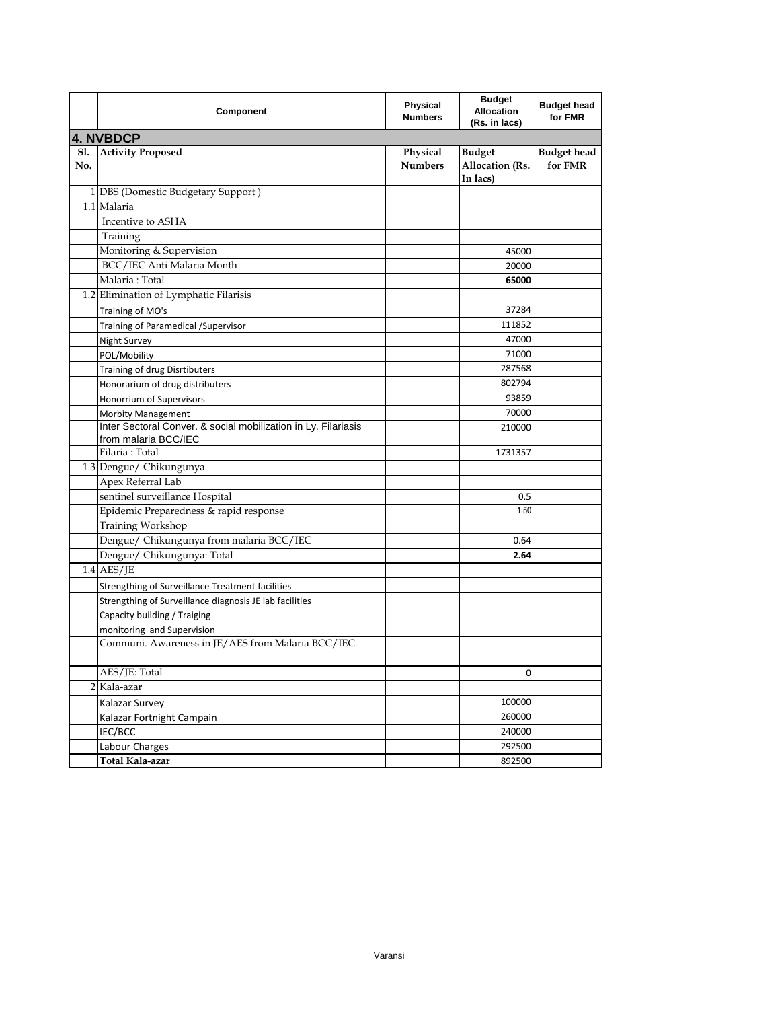|            | Component                                                                              | Physical<br><b>Numbers</b> | <b>Budget</b><br><b>Allocation</b><br>(Rs. in lacs) | <b>Budget head</b><br>for FMR |
|------------|----------------------------------------------------------------------------------------|----------------------------|-----------------------------------------------------|-------------------------------|
|            | <b>4. NVBDCP</b>                                                                       |                            |                                                     |                               |
| S1.<br>No. | <b>Activity Proposed</b>                                                               | Physical<br><b>Numbers</b> | <b>Budget</b><br>Allocation (Rs.<br>In lacs)        | <b>Budget</b> head<br>for FMR |
|            | 1 DBS (Domestic Budgetary Support)                                                     |                            |                                                     |                               |
|            | 1.1 Malaria                                                                            |                            |                                                     |                               |
|            | Incentive to ASHA                                                                      |                            |                                                     |                               |
|            | Training                                                                               |                            |                                                     |                               |
|            | Monitoring & Supervision                                                               |                            | 45000                                               |                               |
|            | BCC/IEC Anti Malaria Month                                                             |                            | 20000                                               |                               |
|            | Malaria: Total                                                                         |                            | 65000                                               |                               |
|            | 1.2 Elimination of Lymphatic Filarisis                                                 |                            |                                                     |                               |
|            | Training of MO's                                                                       |                            | 37284                                               |                               |
|            | Training of Paramedical / Supervisor                                                   |                            | 111852                                              |                               |
|            | Night Survey                                                                           |                            | 47000                                               |                               |
|            | POL/Mobility                                                                           |                            | 71000                                               |                               |
|            | Training of drug Disrtibuters                                                          |                            | 287568                                              |                               |
|            | Honorarium of drug distributers                                                        |                            | 802794                                              |                               |
|            | Honorrium of Supervisors                                                               |                            | 93859                                               |                               |
|            | Morbity Management                                                                     |                            | 70000                                               |                               |
|            | Inter Sectoral Conver. & social mobilization in Ly. Filariasis<br>from malaria BCC/IEC |                            | 210000                                              |                               |
|            | Filaria: Total                                                                         |                            | 1731357                                             |                               |
|            | 1.3 Dengue/ Chikungunya                                                                |                            |                                                     |                               |
|            | Apex Referral Lab                                                                      |                            |                                                     |                               |
|            | sentinel surveillance Hospital                                                         |                            | 0.5                                                 |                               |
|            | Epidemic Preparedness & rapid response                                                 |                            | 1.50                                                |                               |
|            | Training Workshop                                                                      |                            |                                                     |                               |
|            | Dengue/ Chikungunya from malaria BCC/IEC                                               |                            | 0.64                                                |                               |
|            | Dengue/ Chikungunya: Total                                                             |                            | 2.64                                                |                               |
|            | $1.4$ AES/JE                                                                           |                            |                                                     |                               |
|            | Strengthing of Surveillance Treatment facilities                                       |                            |                                                     |                               |
|            | Strengthing of Surveillance diagnosis JE lab facilities                                |                            |                                                     |                               |
|            | Capacity building / Traiging                                                           |                            |                                                     |                               |
|            | monitoring and Supervision                                                             |                            |                                                     |                               |
|            | Communi. Awareness in JE/AES from Malaria BCC/IEC                                      |                            |                                                     |                               |
|            | AES/JE: Total                                                                          |                            | 0                                                   |                               |
|            | 2 Kala-azar                                                                            |                            |                                                     |                               |
|            | Kalazar Survey                                                                         |                            | 100000                                              |                               |
|            | Kalazar Fortnight Campain                                                              |                            | 260000                                              |                               |
|            | IEC/BCC                                                                                |                            | 240000                                              |                               |
|            | Labour Charges                                                                         |                            | 292500                                              |                               |
|            | Total Kala-azar                                                                        |                            | 892500                                              |                               |